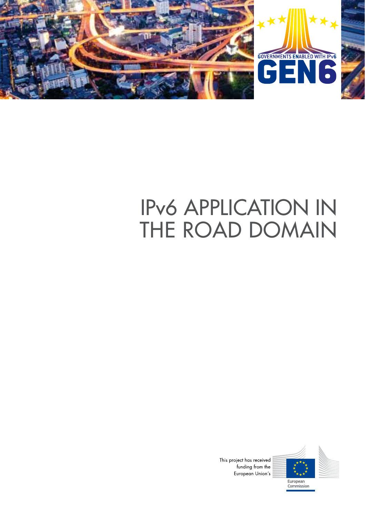

# IPv6 APPLICATION IN THE ROAD DOMAIN



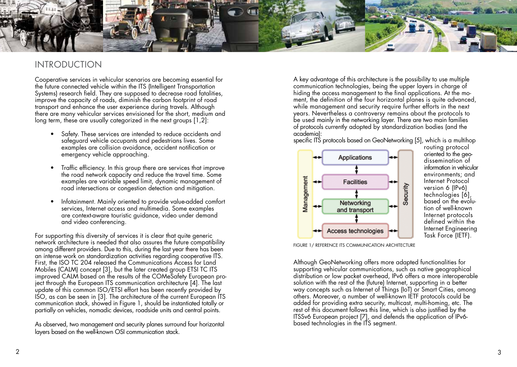

# INTRODUCTION

Cooperative services in vehicular scenarios are becoming essential for the future connected vehicle within the ITS (Intelligent Transportation Systems) research field. They are supposed to decrease road fatalities, improve the capacity of roads, diminish the carbon footprint of road transport and enhance the user experience during travels. Although there are many vehicular services envisioned for the short, medium and long term, these are usually categorized in the next groups [1,2]:

- Safety. These services are intended to reduce accidents and safeguard vehicle occupants and pedestrians lives. Some examples are collision avoidance, accident notification or emergency vehicle approaching.
- Traffic efficiency. In this group there are services that improve the road network capacity and reduce the travel time. Some examples are variable speed limit, dynamic management of road intersections or congestion detection and mitigation.
- Infotainment. Mainly oriented to provide value-added comfort services, Internet access and multimedia. Some examples are context-aware touristic guidance, video under demand and video conferencing.

For supporting this diversity of services it is clear that quite generic network architecture is needed that also assures the future compatibility among different providers. Due to this, during the last year there has been an intense work on standardization activities regarding cooperative ITS. First, the ISO TC 204 released the Communications Access for Land Mobiles (CALM) concept [3], but the later created group ETSI TC ITS improved CALM based on the results of the COMeSafety European pro ject through the European ITS communication architecture [4]. The last update of this common ISO/ETSI effort has been recently provided by ISO, as can be seen in [3]. The architecture of the current European ITS communication stack, showed in Figure 1, should be instantiated totally or partially on vehicles, nomadic devices, roadside units and central points.

As observed, two management and security planes surround four horizontal layers based on the well-known OSI communication stack.

A key advantage of this architecture is the possibility to use multiple communication technologies, being the upper layers in charge of hiding the access management to the final applications. At the mo ment, the definition of the four horizontal planes is quite advanced, while management and security require further efforts in the next years. Nevertheless a controversy remains about the protocols to be used mainly in the networking layer. There are two main families of protocols currently adopted by standardization bodies (and the academia):

specific ITS protocols based on GeoNetworking [5], which is a multihop



routing protocol oriented to the geodissemination of information in vehicular environments; and Internet Protocol version 6 (IPv6) technologies [6], based on the evolu tion of well-known Internet protocols defined within the Internet Engineering Task Force (IETF).

FIGURE 1/ REFERENCE ITS COMMUNICATION ARCHITECTURE

Although GeoNetworking offers more adapted functionalities for supporting vehicular communications, such as native geographical distribution or low packet overhead, IPv6 offers a more interoperable solution with the rest of the (future) Internet, supporting in a better way concepts such as Internet of Things (IoT) or Smart Cities, among others. Moreover, a number of well-known IETF protocols could be added for providing extra security, multicast, multi-homing, etc. The rest of this document follows this line, which is also justified by the ITSSv6 European project [7], and defends the application of IPv6 based technologies in the ITS segment.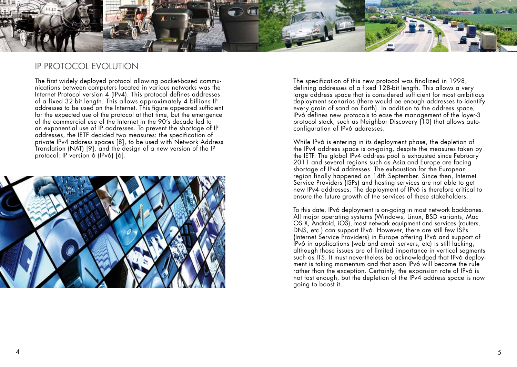

# IP PROTOCOL EVOLUTION

The first widely deployed protocol allowing packet-based communications between computers located in various networks was the Internet Protocol version 4 (IPv4). This protocol defines addresses of a fixed 32-bit length. This allows approximately 4 billions IP addresses to be used on the Internet. This figure appeared sufficient for the expected use of the protocol at that time, but the emergence of the commercial use of the Internet in the 90's decade led to an exponential use of IP addresses. To prevent the shortage of IP addresses, the IETF decided two measures: the specification of private IPv4 address spaces [8], to be used with Network Address Translation (NAT) [9], and the design of a new version of the IP protocol: IP version 6 (IPv6) [6].



The specification of this new protocol was finalized in 1998, defining addresses of a fixed 128-bit length. This allows a very large address space that is considered sufficient for most ambitious deployment scenarios (there would be enough addresses to identify every grain of sand on Earth). In addition to the address space, IPv6 defines new protocols to ease the management of the layer-3 protocol stack, such as Neighbor Discovery [10] that allows autoconfiguration of IPv6 addresses.

While IPv6 is entering in its deployment phase, the depletion of the IPv4 address space is on-going, despite the measures taken by the IETF. The global IPv4 address pool is exhausted since February 2011 and several regions such as Asia and Europe are facing shortage of IPv4 addresses. The exhaustion for the European region finally happened on 14th September. Since then, Internet Service Providers (ISPs) and hosting services are not able to get new IPv4 addresses. The deployment of IPv6 is therefore critical to ensure the future growth of the services of these stakeholders.

To this date, IPv6 deployment is on-going in most network backbones. All major operating systems (Windows, Linux, BSD variants, Mac OS X, Android, iOS), most network equipment and services (routers, DNS, etc.) can support IPv6. However, there are still few ISPs (Internet Service Providers) in Europe offering IPv6 and support of IPv6 in applications (web and email servers, etc) is still lacking, although those issues are of limited importance in vertical segments such as ITS. It must nevertheless be acknowledged that IPv6 deployment is taking momentum and that soon IPv6 will become the rule rather than the exception. Certainly, the expansion rate of IPv6 is not fast enough, but the depletion of the IPv4 address space is now going to boost it.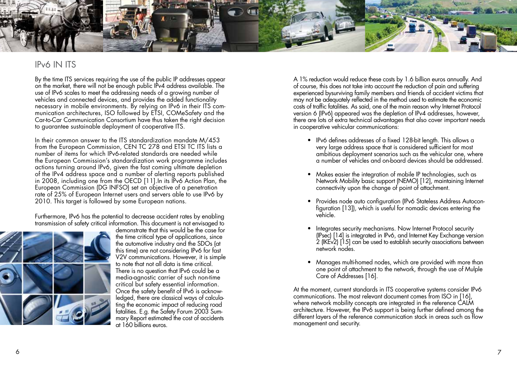

# IPv6 IN ITS

By the time ITS services requiring the use of the public IP addresses appear on the market, there will not be enough public IPv4 address available. The use of IPv6 scales to meet the addressing needs of a growing number of vehicles and connected devices, and provides the added functionality necessary in mobile environments. By relying on IPv6 in their ITS communication architectures, ISO followed by ETSI, COMeSafety and the Car-to-Car Communication Consortium have thus taken the right decision to guarantee sustainable deployment of cooperative ITS.

In their common answer to the ITS standardization mandate M/453 from the European Commission, CEN TC 278 and ETSI TC ITS lists a number of items for which IPv6-related standards are needed while the European Commission's standardization work programme includes actions turning around IPv6, given the fast coming ultimate depletion of the IPv4 address space and a number of alerting reports published in 2008, including one from the OECD [11].In its IPv6 Action Plan, the European Commission (DG INFSO) set an objective of a penetration rate of 25% of European Internet users and servers able to use IPv6 by 2010. This target is followed by some European nations.

Furthermore, IPv6 has the potential to decrease accident rates by enabling transmission of safety critical information. This document is not envisaged to



demonstrate that this would be the case for the time critical type of applications, since the automotive industry and the SDOs (at this time) are not considering IPv6 for fast V2V communications. However, it is simple to note that not all data is time critical. There is no question that IPv6 could be a media-agnostic carrier of such non-time critical but safety essential information. Once the safety benefit of IPv6 is acknowledged, there are classical ways of calculating the economic impact of reducing road fatalities. E.g. the Safety Forum 2003 Summary Report estimated the cost of accidents at 160 billions euros.

A 1% reduction would reduce these costs by 1.6 billion euros annually. And of course, this does not take into account the reduction of pain and suffering experienced bysurviving family members and friends of accident victims that may not be adequately reflected in the method used to estimate the economic costs of traffic fatalities. As said, one of the main reason why Internet Protocol version 6 (IPv6) appeared was the depletion of IPv4 addresses, however, there are lots of extra technical advantages that also cover important needs in cooperative vehicular communications:

- IPv6 defines addresses of a fixed 128-bit length. This allows a very large address space that is considered sufficient for most ambitious deployment scenarios such as the vehicular one, where a number of vehicles and on-board devices should be addressed.
- Makes easier the integration of mobile IP technologies, such as Network Mobility basic support (NEMO) [12], maintaining Internet connectivity upon the change of point of attachment.
- Provides node auto configuration (IPv6 Stateless Address Autocon figuration [13]), which is useful for nomadic devices entering the vehicle.
- Integrates security mechanisms. Now Internet Protocol security (IPsec) [14] is integrated in IPv6, and Internet Key Exchange version 2 (IKEv2) [15] can be used to establish security associations between network nodes.
- Manages multi-homed nodes, which are provided with more than one point of attachment to the network, through the use of Mulple Care of Addresses [16].

At the moment, current standards in ITS cooperative systems consider IPv6 communications. The most relevant document comes from ISO in [16], where network mobility concepts are integrated in the reference CALM architecture. However, the IPv6 support is being further defined among the different layers of the reference communication stack in areas such as flow management and security.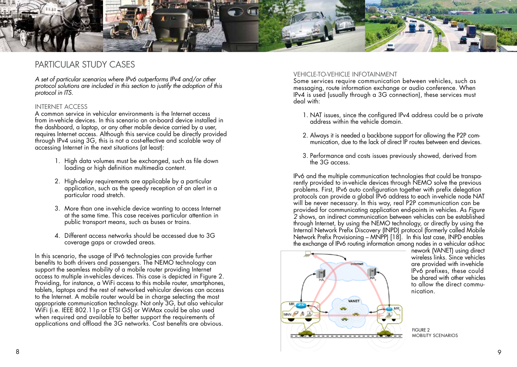

# PARTICULAR STUDY CASES

*A set of particular scenarios where IPv6 outperforms IPv4 and/or other protocol solutions are included in this section to justify the adoption of this protocol in ITS.*

### INTERNET ACCESS

A common service in vehicular environments is the Internet access from in-vehicle devices. In this scenario an on-board device installed in the dashboard, a laptop, or any other mobile device carried by a user, requires Internet access. Although this service could be directly provided through IPv4 using 3G, this is not a cost-effective and scalable way of accessing Internet in the next situations (at least):

- 1. High data volumes must be exchanged, such as file down loading or high definition multimedia content.
- 2. High-delay requirements are applicable by a particular application, such as the speedy reception of an alert in a particular road stretch.
- 3. More than one in-vehicle device wanting to access Internet at the same time. This case receives particular attention in public transport means, such as buses or trains.
- 4. Different access networks should be accessed due to 3G coverage gaps or crowded areas.

In this scenario, the usage of IPv6 technologies can provide further benefits to both drivers and passengers. The NEMO technology can support the seamless mobility of a mobile router providing Internet access to multiple in-vehicles devices. This case is depicted in Figure 2. Providing, for instance, a WiFi access to this mobile router, smartphones, tablets, laptops and the rest of networked vehicular devices can access to the Internet. A mobile router would be in charge selecting the most appropriate communication technology. Not only 3G, but also vehicular WiFi (i.e. IEEE 802.11p or ETSI G5) or WiMax could be also used when required and available to better support the requirements of applications and offload the 3G networks. Cost benefits are obvious.

### VEHICLE-TO-VEHICLE INFOTAINMENT

Some services require communication between vehicles, such as messaging, route information exchange or audio conference. When IPv4 is used (usually through a 3G connection), these services must deal with:

- 1. NAT issues, since the configured IPv4 address could be a private address within the vehicle domain.
- 2. Always it is needed a backbone support for allowing the P2P communication, due to the lack of direct IP routes between end devices.
- 3. Performance and costs issues previously showed, derived from the 3G access.

IPv6 and the multiple communication technologies that could be transparently provided to in-vehicle devices through NEMO solve the previous problems. First, IPv6 auto configuration together with prefix delegation protocols can provide a global IPv6 address to each in-vehicle node NAT will be never necessary. In this way, real P2P communication can be provided for communicating application end-points in vehicles. As *Figure 2* shows, an indirect communication between vehicles can be established through Internet, by using the NEMO technology, or directly by using the Internal Network Prefix Discovery (INPD) protocol (formerly called Mobile Network Prefix Provisioning – MNPP) [18]. In this last case, INPD enables the exchange of IPv6 routing information among nodes in a vehicular ad-hoc



nework (VANET) using direct wireless links. Since vehicles are provided with in-vehicle IPv6 prefixes, these could be shared with other vehicles to allow the direct communication.

FIGURE 2 MOBILITY SCENARIOS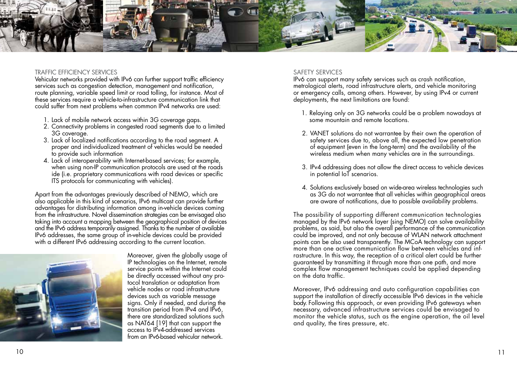

#### TRAFFIC EFFICIENCY SERVICES

Vehicular networks provided with IPv6 can further support traffic efficiency services such as congestion detection, management and notification, route planning, variable speed limit or road tolling, for instance. Most of these services require a vehicle-to-infrastructure communication link that could suffer from next problems when common IPv4 networks are used:

- 1. Lack of mobile network access within 3G coverage gaps.
- 2. Connectivity problems in congested road segments due to a limited 3G coverage.
- 3. Lack of localized notifications according to the road segment. A proper and individualized treatment of vehicles would be needed to provide such information
- 4. Lack of interoperability with Internet-based services; for example, when using non-IP communication protocols are used at the roads ide (i.e. proprietary communications with road devices or specific ITS protocols for communicating with vehicles).

Apart from the advantages previously described of NEMO, which are also applicable in this kind of scenarios, IPv6 multicast can provide further advantages for distributing information among in-vehicle devices coming from the infrastructure. Novel dissemination strategies can be envisaged also taking into account a mapping between the geographical position of devices and the IPv6 address temporarily assigned. Thanks to the number of available IPv6 addresses, the same group of in-vehicle devices could be provided with a different IPv6 addressing according to the current location.



Moreover, given the globally usage of IP technologies on the Internet, remote service points within the Internet could be directly accessed without any protocol translation or adaptation from vehicle nodes or road infrastructure devices such as variable message signs. Only if needed, and during the transition period from IPv4 and IPv6, there are standardized solutions such as NAT64 [19] that can support the access to IPv4-addressed services from an IPv6-based vehicular network.

#### SAFETY SERVICES

IPv6 can support many safety services such as crash notification, metrological alerts, road infrastructure alerts, and vehicle monitoring or emergency calls, among others. However, by using IPv4 or current deployments, the next limitations are found:

- 1. Relaying only on 3G networks could be a problem nowadays at some mountain and remote locations.
- 2. VANET solutions do not warrantee by their own the operation of safety services due to, above all, the expected low penetration of equipment (even in the long-term) and the availability of the wireless medium when many vehicles are in the surroundings.
- 3. IPv4 addressing does not allow the direct access to vehicle devices in potential IoT scenarios.
- 4. Solutions exclusively based on wide-area wireless technologies such as 3G do not warrantee that all vehicles within geographical areas are aware of notifications, due to possible availability problems.

The possibility of supporting different communication technologies managed by the IPv6 network layer (sing NEMO) can solve availability problems, as said, but also the overall performance of the communication could be improved, and not only because of WLAN network attachment points can be also used transparently. The MCoA technology can support more than one active communication flow between vehicles and infrastructure. In this way, the reception of a critical alert could be further guaranteed by transmitting it through more than one path, and more complex flow management techniques could be applied depending on the data traffic.

Moreover, IPv6 addressing and auto configuration capabilities can support the installation of directly accessible IPv6 devices in the vehicle body. Following this approach, or even providing IPv6 gateways when necessary, advanced infrastructure services could be envisaged to monitor the vehicle status, such as the engine operation, the oil level and quality, the tires pressure, etc.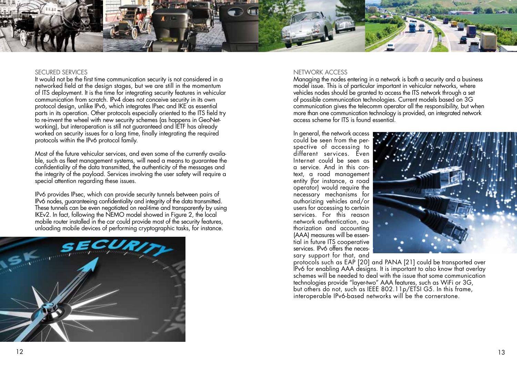

#### SECURED SERVICES

It would not be the first time communication security is not considered in a networked field at the design stages, but we are still in the momentum of ITS deployment. It is the time for integrating security features in vehicular communication from scratch. IPv4 does not conceive security in its own protocol design, unlike IPv6, which integrates IPsec and IKE as essential parts in its operation. Other protocols especially oriented to the ITS field try to re-invent the wheel with new security schemes (as happens in GeoNetworking), but interoperation is still not guaranteed and IETF has already worked on security issues for a long time, finally integrating the required protocols within the IPv6 protocol family.

Most of the future vehicular services, and even some of the currently available, such as fleet management systems, will need a means to guarantee the confidentiality of the data transmitted, the authenticity of the messages and the integrity of the payload. Services involving the user safety will require a special attention regarding these issues.

IPv6 provides IPsec, which can provide security tunnels between pairs of IPv6 nodes, guaranteeing confidentiality and integrity of the data transmitted. These tunnels can be even negotiated on real-time and transparently by using IKEv2. In fact, following the NEMO model showed in Figure 2, the local mobile router installed in the car could provide most of the security features, unloading mobile devices of performing cryptographic tasks, for instance.



#### NETWORK ACCESS

Managing the nodes entering in a network is both a security and a business model issue. This is of particular important in vehicular networks, where vehicles nodes should be granted to access the ITS network through a set of possible communication technologies. Current models based on 3G communication gives the telecomm operator all the responsibility, but when more than one communication technology is provided, an integrated network access scheme for ITS is found essential.

In general, the network access could be seen from the perspective of accessing to different services. Even Internet could be seen as a service. And in this context, a road management entity (for instance, a road operator) would require the necessary mechanisms for authorizing vehicles and/or users for accessing to certain services. For this reason network authentication, authorization and accounting (AAA) measures will be essential in future ITS cooperative services. IPv6 offers the necessary support for that, and



protocols such as EAP [20] and PANA [21] could be transported over IPv6 for enabling AAA designs. It is important to also know that overlay schemes will be needed to deal with the issue that some communication technologies provide "layer-two" AAA features, such as WiFi or 3G, but others do not, such as IEEE 802.11p/ETSI G5. In this frame, interoperable IPv6-based networks will be the cornerstone.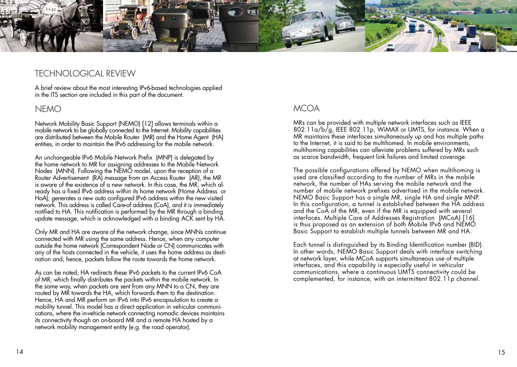

# TECHNOLOGICAL REVIEW

A brief review about the most interesting IPv6-based technologies applied in the ITS section are included in this part of the document.

### NEMO

Network Mobility Basic Support (NEMO) [12] allows terminals within a mobile network to be globally connected to the Internet. Mobility capabilities are distributed between the Mobile Router (MR) and the Home Agent (HA) entities, in order to maintain the IPv6 addressing for the mobile network.

An unchangeable IPv6 Mobile Network Prefix (MNP) is delegated by the home network to MR for assigning addresses to the Mobile Network Nodes (MNN). Following the NEMO model, upon the reception of a Router Advertisement (RA) message from an Access Router (AR), the MR is aware of the existence of a new network. In this case, the MR, which already has a fixed IPv6 address within its home network (Home Address or HoA), generates a new auto configured IPv6 address within the new visited network. This address is called Care-of address (CoA), and it is immediately notified to HA. This notification is performed by the MR through a binding update message, which is acknowledged with a binding ACK sent by HA.

Only MR and HA are aware of the network change, since MNNs continue connected with MR using the same address. Hence, when any computer outside the home network (Correspondent Node or CN) communicates with any of the hosts connected in the vehicle, it uses the home address as destination and, hence, packets follow the route towards the home network.

As can be noted, HA redirects these IPv6 packets to the current IPv6 CoA of MR, which finally distributes the packets within the mobile network. In the same way, when packets are sent from any MNN to a CN, they are routed by MR towards the HA, which forwards them to the destination. Hence, HA and MR perform an IPv6 into IPv6 encapsulation to create a mobility tunnel. This model has a direct application in vehicular communications, where the in-vehicle network connecting nomadic devices maintains its connectivity though an on-board MR and a remote HA hosted by a network mobility management entity (e.g. the road operator).

# **MCOA**

MRs can be provided with multiple network interfaces such as IEEE 802.11a/b/g, IEEE 802.11p, WiMAX or UMTS, for instance. When a MR maintains these interfaces simultaneously up and has multiple paths to the Internet, it is said to be multihomed. In mobile environments, multihoming capabilities can alleviate problems suffered by MRs such as scarce bandwidth, frequent link failures and limited coverage.

The possible configurations offered by NEMO when multihoming is used are classified according to the number of MRs in the mobile network, the number of HAs serving the mobile network and the number of mobile network prefixes advertised in the mobile network. NEMO Basic Support has a single MR, single HA and single MNP. In this configuration, a tunnel is established between the HA address and the CoA of the MR, even if the MR is equipped with several interfaces. Multiple Care of Addresses Registration (MCoA) [16] is thus proposed as an extension of both Mobile IPv6 and NEMO Basic Support to establish multiple tunnels between MR and HA.

Each tunnel is distinguished by its Binding Identification number (BID). In other words, NEMO Basic Support deals with interface switching at network layer, while MCoA supports simultaneous use of multiple interfaces, and this capability is especially useful in vehicular communications, where a continuous UMTS connectivity could be complemented, for instance, with an intermittent 802.11p channel.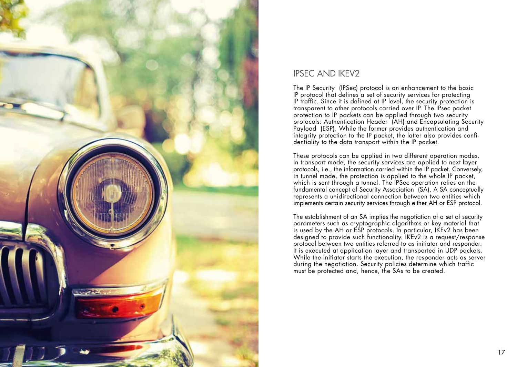

# IPSEC AND IKEV2

The IP Security (IPSec) protocol is an enhancement to the basic IP protocol that defines a set of security services for protecting IP traffic. Since it is defined at IP level, the security protection is transparent to other protocols carried over IP. The IPsec packet protection to IP packets can be applied through two security protocols: Authentication Header (AH) and Encapsulating Security Payload (ESP). While the former provides authentication and integrity protection to the IP packet, the latter also provides confi dentiality to the data transport within the IP packet.

These protocols can be applied in two different operation modes. In transport mode, the security services are applied to next layer protocols, i.e., the information carried within the IP packet. Conversely, in tunnel mode, the protection is applied to the whole IP packet, which is sent through a tunnel. The IPSec operation relies on the fundamental concept of Security Association (SA). A SA conceptually represents a unidirectional connection between two entities which implements certain security services through either AH or ESP protocol.

The establishment of an SA implies the negotiation of a set of security parameters such as cryptographic algorithms or key material that is used by the AH or ESP protocols. In particular, IKEv2 has been designed to provide such functionality. IKEv2 is a request/response protocol between two entities referred to as initiator and responder. It is executed at application layer and transported in UDP packets. While the initiator starts the execution, the responder acts as server during the negotiation. Security policies determine which traffic must be protected and, hence, the SAs to be created.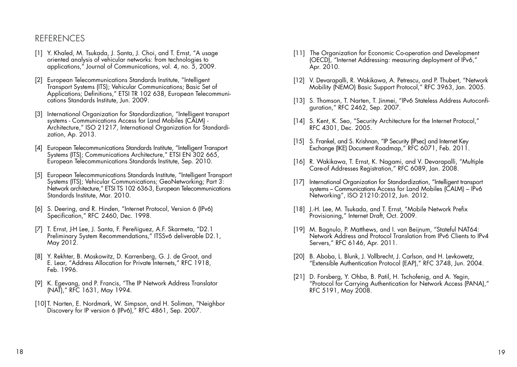### REFERENCES

- [1] Y. Khaled, M. Tsukada, J. Santa, J. Choi, and T. Ernst, "A usage oriented analysis of vehicular networks: from technologies to applications," Journal of Communications, vol. 4, no. 5, 2009.
- [2] European Telecommunications Standards Institute, "Intelligent Transport Systems (ITS); Vehicular Communications; Basic Set of Applications; Definitions," ETSI TR 102 638, European Telecommuni- cations Standards Institute, Jun. 2009.
- [3] International Organization for Standardization, "Intelligent transport systems - Communications Access for Land Mobiles (CALM) - Architecture," ISO 21217, International Organization for Standardization, Ap. 2013.
- [4] European Telecommunications Standards Institute, "Intelligent Transport Systems (ITS); Communications Architecture," ETSI EN 302 665, European Telecommunications Standards Institute, Sep. 2010.
- European Telecommunications Standards Institute, "Intelligent Transport Systems (ITS); Vehicular Communications; GeoNetworking; Part 3: Network architecture," ETSI TS 102 636-3, European Telecommunications Standards Institute, Mar. 2010.
- [6] S. Deering, and R. Hinden, "Internet Protocol, Version 6 (IPv6) Specification," RFC 2460, Dec. 1998.
- [7] T. Ernst, J-H Lee, J. Santa, F. Pereñiguez, A.F. Skarmeta, "D2.1 Preliminary System Recommendations," ITSSv6 deliverable D2.1, May 2012.
- [8] Y. Rekhter, B. Moskowitz, D. Karrenberg, G. J. de Groot, and E. Lear, "Address Allocation for Private Internets," RFC 1918, Feb. 1996.
- [9] K. Egevang, and P. Francis, "The IP Network Address Translator (NAT)," RFC 1631, May 1994.
- [10] T. Narten, E. Nordmark, W. Simpson, and H. Soliman, "Neighbor Discovery for IP version 6 (IPv6)," RFC 4861, Sep. 2007.
- [11] The Organization for Economic Co-operation and Development (OECD), "Internet Addressing: measuring deployment of IPv6," Apr. 2010.
- [12] V. Devarapalli, R. Wakikawa, A. Petrescu, and P. Thubert, "Network" Mobility (NEMO) Basic Support Protocol," RFC 3963, Jan. 2005.
- [13] S. Thomson, T. Narten, T. Jinmei, "IPv6 Stateless Address Autoconfi- guration," RFC 2462, Sep. 2007.
- [14] S. Kent, K. Seo, "Security Architecture for the Internet Protocol," RFC 4301, Dec. 2005.
- [15] S. Frankel, and S. Krishnan, "IP Security (IPsec) and Internet Key Exchange (IKE) Document Roadmap," RFC 6071, Feb. 2011.
- [16] R. Wakikawa, T. Ernst, K. Nagami, and V. Devarapalli, "Multiple Care-of Addresses Registration," RFC 6089, Jan. 2008.
- [17] International Organization for Standardization, "Intelligent transport" systems – Communications Access for Land Mobiles (CALM) – IPv6 Networking", ISO 21210:2012, Jun. 2012.
- [18] J.-H. Lee, M. Tsukada, and T. Ernst, "Mobile Network Prefix Provisioning," Internet Draft, Oct. 2009.
- [19] M. Bagnulo, P. Matthews, and I. van Beijnum, "Stateful NAT64: Network Address and Protocol Translation from IPv6 Clients to IPv4 Servers," RFC 6146, Apr. 2011.
- [20] B. Aboba, L. Blunk, J. Vollbrecht, J. Carlson, and H. Levkowetz, "Extensible Authentication Protocol (EAP)," RFC 3748, Jun. 2004.
- [21] D. Forsberg, Y. Ohba, B. Patil, H. Tschofenig, and A. Yegin, "Protocol for Carrying Authentication for Network Access (PANA)," RFC 5191, May 2008.